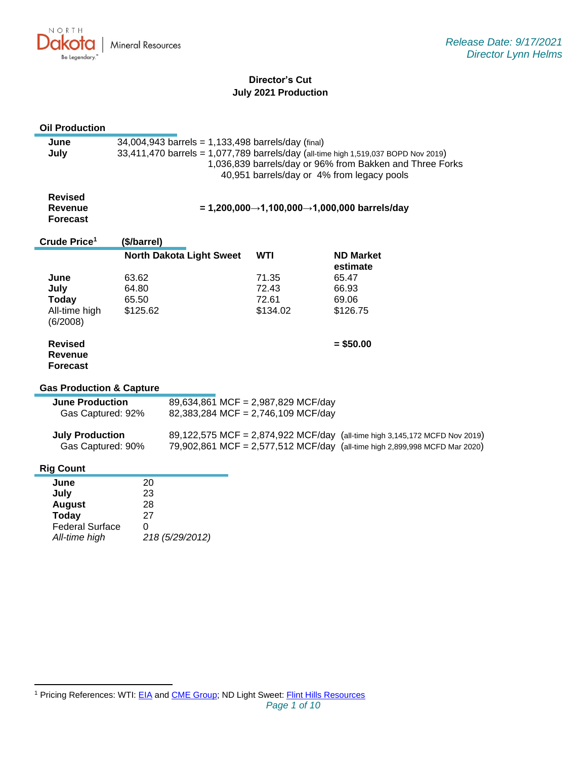

# **Director's Cut July 2021 Production**

#### **Oil Production**

| June | $34,004,943$ barrels = 1,133,498 barrels/day (final)                               |
|------|------------------------------------------------------------------------------------|
| July | 33,411,470 barrels = 1,077,789 barrels/day (all-time high 1,519,037 BOPD Nov 2019) |
|      | 1,036,839 barrels/day or 96% from Bakken and Three Forks                           |
|      | 40,951 barrels/day or 4% from legacy pools                                         |
|      |                                                                                    |

| = 1,200,000→1,100,000→1,000,000 barrels/day |
|---------------------------------------------|
|                                             |
|                                             |

| Crude Price <sup>1</sup>                     | (\$/barrel)                     |            |                              |
|----------------------------------------------|---------------------------------|------------|------------------------------|
|                                              | <b>North Dakota Light Sweet</b> | <b>WTI</b> | <b>ND Market</b><br>estimate |
| June                                         | 63.62                           | 71.35      | 65.47                        |
| July                                         | 64.80                           | 72.43      | 66.93                        |
| Today                                        | 65.50                           | 72.61      | 69.06                        |
| All-time high<br>(6/2008)                    | \$125.62                        | \$134.02   | \$126.75                     |
| <b>Revised</b><br>Revenue<br><b>Forecast</b> |                                 |            | $= $50.00$                   |

#### **Gas Production & Capture**

| <b>June Production</b><br>Gas Captured: 92% | 89,634,861 MCF = 2,987,829 MCF/day<br>82,383,284 MCF = 2,746,109 MCF/day |                                                                                                                                                          |
|---------------------------------------------|--------------------------------------------------------------------------|----------------------------------------------------------------------------------------------------------------------------------------------------------|
| <b>July Production</b><br>Gas Captured: 90% |                                                                          | 89,122,575 MCF = 2,874,922 MCF/day (all-time high 3,145,172 MCFD Nov 2019)<br>79,902,861 MCF = 2,577,512 MCF/day (all-time high 2,899,998 MCFD Mar 2020) |

# **Rig Count**

| June                   | 20              |
|------------------------|-----------------|
| July                   | 23              |
| <b>August</b>          | 28              |
| <b>Today</b>           | 27              |
| <b>Federal Surface</b> | 0               |
| All-time high          | 218 (5/29/2012) |

<sup>&</sup>lt;sup>1</sup> Pricing References: WTI: [EIA](https://www.eia.gov/dnav/pet/hist/LeafHandler.ashx?n=PET&s=RCLC1&f=M) and [CME Group;](https://www.cmegroup.com/trading/energy/crude-oil/light-sweet-crude.html) ND Light Sweet: [Flint Hills Resources](https://www.fhr.com/products-services/fuels-and-aromatics)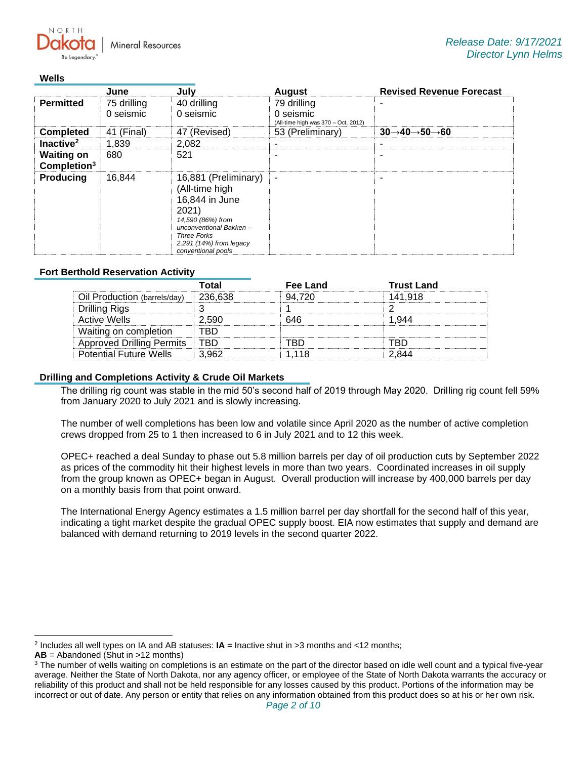**Mineral Resources** 

#### **Wells**

 $N$   $\cap$   $R$   $T$   $\vdash$ 

|                                              | June                     | July                                                                                                                                                                                      | <b>August</b>                                                   | <b>Revised Revenue Forecast</b>                   |
|----------------------------------------------|--------------------------|-------------------------------------------------------------------------------------------------------------------------------------------------------------------------------------------|-----------------------------------------------------------------|---------------------------------------------------|
| <b>Permitted</b>                             | 75 drilling<br>0 seismic | 40 drilling<br>0 seismic                                                                                                                                                                  | 79 drilling<br>0 seismic<br>(All-time high was 370 - Oct. 2012) |                                                   |
| <b>Completed</b>                             | 41 (Final)               | 47 (Revised)                                                                                                                                                                              | 53 (Preliminary)                                                | $30 \rightarrow 40 \rightarrow 50 \rightarrow 60$ |
| Inactive <sup>2</sup>                        | 1,839                    | 2,082                                                                                                                                                                                     |                                                                 |                                                   |
| <b>Waiting on</b><br>Completion <sup>3</sup> | 680                      | 521                                                                                                                                                                                       |                                                                 | -                                                 |
| <b>Producing</b>                             | 16,844                   | 16,881 (Preliminary)<br>(All-time high<br>16,844 in June<br>2021)<br>14,590 (86%) from<br>unconventional Bakken-<br><b>Three Forks</b><br>$2,291$ (14%) from legacy<br>conventional pools | ٠                                                               | -                                                 |

### **Fort Berthold Reservation Activity**

|                                  | Total   | Fee Land | <b>Trust Land</b> |
|----------------------------------|---------|----------|-------------------|
| Oil Production (barrels/day)     | 236,638 | 94 720   | 141.918           |
| <b>Drilling Rigs</b>             |         |          |                   |
| <b>Active Wells</b>              | 2.590   | 646      |                   |
| Waiting on completion            | TRD     |          |                   |
| <b>Approved Drilling Permits</b> | TRD     | 'RГ      | TRD               |
| <b>Potential Future Wells</b>    | 3.962   | 1.118    |                   |

### **Drilling and Completions Activity & Crude Oil Markets**

The drilling rig count was stable in the mid 50's second half of 2019 through May 2020. Drilling rig count fell 59% from January 2020 to July 2021 and is slowly increasing.

The number of well completions has been low and volatile since April 2020 as the number of active completion crews dropped from 25 to 1 then increased to 6 in July 2021 and to 12 this week.

OPEC+ reached a deal Sunday to phase out 5.8 million barrels per day of oil production cuts by September 2022 as prices of the commodity hit their highest levels in more than two years. Coordinated increases in oil supply from the group known as OPEC+ began in August. Overall production will increase by 400,000 barrels per day on a monthly basis from that point onward.

The International Energy Agency estimates a 1.5 million barrel per day shortfall for the second half of this year, indicating a tight market despite the gradual OPEC supply boost. EIA now estimates that supply and demand are balanced with demand returning to 2019 levels in the second quarter 2022.

<sup>2</sup> Includes all well types on IA and AB statuses: **IA** = Inactive shut in >3 months and <12 months;

**AB** = Abandoned (Shut in >12 months)

<sup>&</sup>lt;sup>3</sup> The number of wells waiting on completions is an estimate on the part of the director based on idle well count and a typical five-year average. Neither the State of North Dakota, nor any agency officer, or employee of the State of North Dakota warrants the accuracy or reliability of this product and shall not be held responsible for any losses caused by this product. Portions of the information may be incorrect or out of date. Any person or entity that relies on any information obtained from this product does so at his or her own risk.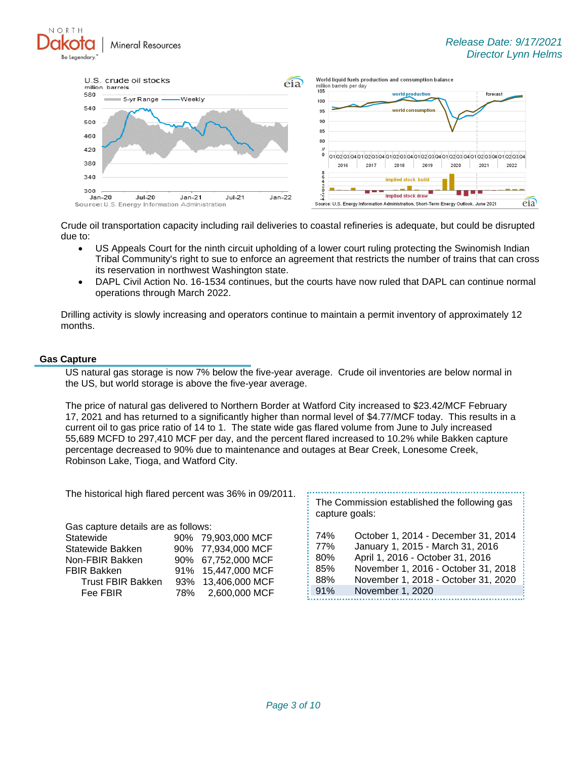*Release Date: 9/17/2021 Director Lynn Helms*





Crude oil transportation capacity including rail deliveries to coastal refineries is adequate, but could be disrupted due to:

- US Appeals Court for the ninth circuit upholding of a lower court ruling protecting the Swinomish Indian Tribal Community's right to sue to enforce an agreement that restricts the number of trains that can cross its reservation in northwest Washington state.
- DAPL Civil Action No. 16-1534 continues, but the courts have now ruled that DAPL can continue normal operations through March 2022.

Drilling activity is slowly increasing and operators continue to maintain a permit inventory of approximately 12 months.

### **Gas Capture**

NORTH

US natural gas storage is now 7% below the five-year average. Crude oil inventories are below normal in the US, but world storage is above the five-year average.

The price of natural gas delivered to Northern Border at Watford City increased to \$23.42/MCF February 17, 2021 and has returned to a significantly higher than normal level of \$4.77/MCF today. This results in a current oil to gas price ratio of 14 to 1. The state wide gas flared volume from June to July increased 55,689 MCFD to 297,410 MCF per day, and the percent flared increased to 10.2% while Bakken capture percentage decreased to 90% due to maintenance and outages at Bear Creek, Lonesome Creek, Robinson Lake, Tioga, and Watford City.

| The Commission established the following gas<br>capture goals:<br>Gas capture details are as follows:<br>October 1, 2014 - December 31, 2014<br>74%<br>90% 79,903,000 MCF<br>Statewide<br>January 1, 2015 - March 31, 2016<br>77%<br>90% 77,934,000 MCF<br>Statewide Bakken<br>April 1, 2016 - October 31, 2016<br>80%<br>90% 67,752,000 MCF<br>Non-FBIR Bakken<br>November 1, 2016 - October 31, 2018<br>85%<br>91% 15,447,000 MCF<br><b>FBIR Bakken</b><br>November 1, 2018 - October 31, 2020<br>88%<br>93% 13,406,000 MCF<br><b>Trust FBIR Bakken</b><br>November 1, 2020<br>91%<br>2,600,000 MCF<br>Fee FBIR<br>78% |                                                        |  |  |  |
|--------------------------------------------------------------------------------------------------------------------------------------------------------------------------------------------------------------------------------------------------------------------------------------------------------------------------------------------------------------------------------------------------------------------------------------------------------------------------------------------------------------------------------------------------------------------------------------------------------------------------|--------------------------------------------------------|--|--|--|
|                                                                                                                                                                                                                                                                                                                                                                                                                                                                                                                                                                                                                          | The historical high flared percent was 36% in 09/2011. |  |  |  |
|                                                                                                                                                                                                                                                                                                                                                                                                                                                                                                                                                                                                                          |                                                        |  |  |  |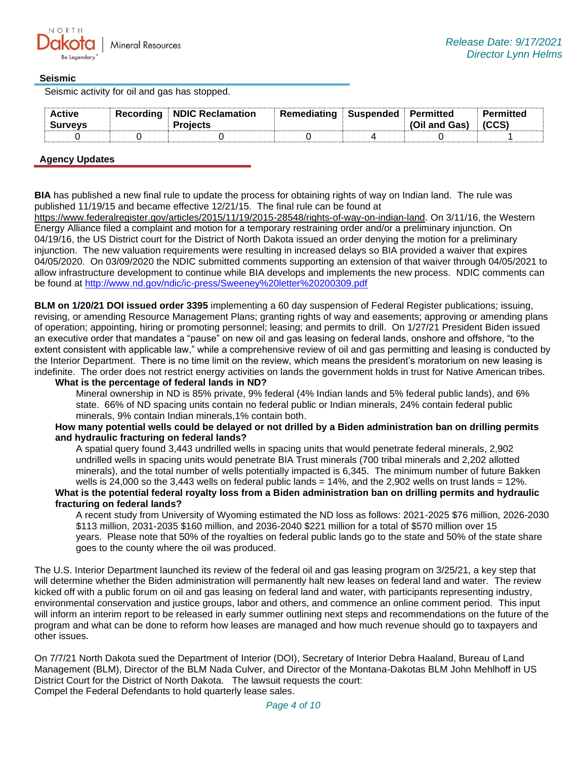## **Seismic**

Seismic activity for oil and gas has stopped.

| <b>Active</b><br><b>Surveys</b> | Recording   NDIC Reclamation<br>Proiects | Remediating | i Suspended i Permitted | (Oil and Gas) | Permitted |
|---------------------------------|------------------------------------------|-------------|-------------------------|---------------|-----------|
|                                 |                                          |             |                         |               |           |

# **Agency Updates**

**BIA** has published a new final rule to update the process for obtaining rights of way on Indian land. The rule was published 11/19/15 and became effective 12/21/15. The final rule can be found at

[https://www.federalregister.gov/articles/2015/11/19/2015-28548/rights-of-way-on-indian-land.](https://gcc02.safelinks.protection.outlook.com/?url=https%3A%2F%2Fwww.federalregister.gov%2Farticles%2F2015%2F11%2F19%2F2015-28548%2Frights-of-way-on-indian-land&data=04%7C01%7Ckahaarsager%40nd.gov%7Cd4cd997dd5354d4656bc08d979e064bb%7C2dea0464da514a88bae2b3db94bc0c54%7C0%7C0%7C637674826944041678%7CUnknown%7CTWFpbGZsb3d8eyJWIjoiMC4wLjAwMDAiLCJQIjoiV2luMzIiLCJBTiI6Ik1haWwiLCJXVCI6Mn0%3D%7C1000&sdata=iA7kSB4ctJIMybzXGB9xViB1IHo98GkUa4qqAizmK%2Fw%3D&reserved=0) On 3/11/16, the Western Energy Alliance filed a complaint and motion for a temporary restraining order and/or a preliminary injunction. On 04/19/16, the US District court for the District of North Dakota issued an order denying the motion for a preliminary injunction. The new valuation requirements were resulting in increased delays so BIA provided a waiver that expires 04/05/2020. On 03/09/2020 the NDIC submitted comments supporting an extension of that waiver through 04/05/2021 to allow infrastructure development to continue while BIA develops and implements the new process. NDIC comments can be found at<http://www.nd.gov/ndic/ic-press/Sweeney%20letter%20200309.pdf>

**BLM on 1/20/21 DOI issued order 3395** implementing a 60 day suspension of Federal Register publications; issuing, revising, or amending Resource Management Plans; granting rights of way and easements; approving or amending plans of operation; appointing, hiring or promoting personnel; leasing; and permits to drill. On 1/27/21 President Biden issued an executive order that mandates a "pause" on new oil and gas leasing on federal lands, onshore and offshore, "to the extent consistent with applicable law," while a comprehensive review of oil and gas permitting and leasing is conducted by the Interior Department. There is no time limit on the review, which means the president's moratorium on new leasing is indefinite. The order does not restrict energy activities on lands the government holds in trust for Native American tribes.

**What is the percentage of federal lands in ND?**

Mineral ownership in ND is 85% private, 9% federal (4% Indian lands and 5% federal public lands), and 6% state. 66% of ND spacing units contain no federal public or Indian minerals, 24% contain federal public minerals, 9% contain Indian minerals,1% contain both.

### **How many potential wells could be delayed or not drilled by a Biden administration ban on drilling permits and hydraulic fracturing on federal lands?**

A spatial query found 3,443 undrilled wells in spacing units that would penetrate federal minerals, 2,902 undrilled wells in spacing units would penetrate BIA Trust minerals (700 tribal minerals and 2,202 allotted minerals), and the total number of wells potentially impacted is 6,345. The minimum number of future Bakken wells is 24,000 so the 3,443 wells on federal public lands =  $14\%$ , and the 2,902 wells on trust lands =  $12\%$ . **What is the potential federal royalty loss from a Biden administration ban on drilling permits and hydraulic fracturing on federal lands?**

A recent study from University of Wyoming estimated the ND loss as follows: 2021-2025 \$76 million, 2026-2030 \$113 million, 2031-2035 \$160 million, and 2036-2040 \$221 million for a total of \$570 million over 15 years. Please note that 50% of the royalties on federal public lands go to the state and 50% of the state share goes to the county where the oil was produced.

The U.S. Interior Department launched its review of the federal oil and gas leasing program on 3/25/21, a key step that will determine whether the Biden administration will permanently halt new leases on federal land and water. The review kicked off with a public forum on oil and gas leasing on federal land and water, with participants representing industry, environmental conservation and justice groups, labor and others, and commence an online comment period. This input will inform an interim report to be released in early summer outlining next steps and recommendations on the future of the program and what can be done to reform how leases are managed and how much revenue should go to taxpayers and other issues.

On 7/7/21 North Dakota sued the Department of Interior (DOI), Secretary of Interior Debra Haaland, Bureau of Land Management (BLM), Director of the BLM Nada Culver, and Director of the Montana-Dakotas BLM John Mehlhoff in US District Court for the District of North Dakota. The lawsuit requests the court: Compel the Federal Defendants to hold quarterly lease sales.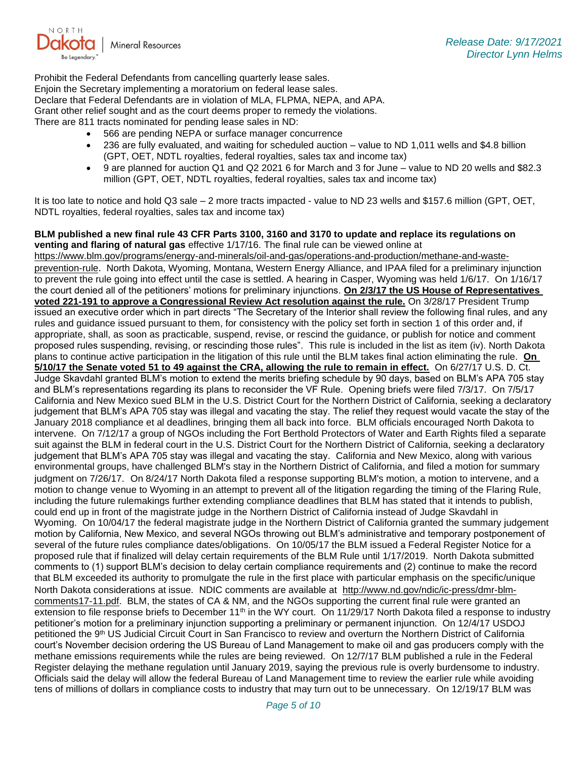

Prohibit the Federal Defendants from cancelling quarterly lease sales. Enjoin the Secretary implementing a moratorium on federal lease sales. Declare that Federal Defendants are in violation of MLA, FLPMA, NEPA, and APA. Grant other relief sought and as the court deems proper to remedy the violations. There are 811 tracts nominated for pending lease sales in ND:

- 566 are pending NEPA or surface manager concurrence
- 236 are fully evaluated, and waiting for scheduled auction value to ND 1,011 wells and \$4.8 billion (GPT, OET, NDTL royalties, federal royalties, sales tax and income tax)
- 9 are planned for auction Q1 and Q2 2021 6 for March and 3 for June value to ND 20 wells and \$82.3 million (GPT, OET, NDTL royalties, federal royalties, sales tax and income tax)

It is too late to notice and hold Q3 sale – 2 more tracts impacted - value to ND 23 wells and \$157.6 million (GPT, OET, NDTL royalties, federal royalties, sales tax and income tax)

**BLM published a new final rule 43 CFR Parts 3100, 3160 and 3170 to update and replace its regulations on venting and flaring of natural gas** effective 1/17/16. The final rule can be viewed online at [https://www.blm.gov/programs/energy-and-minerals/oil-and-gas/operations-and-production/methane-and-waste](https://gcc02.safelinks.protection.outlook.com/?url=https%3A%2F%2Fwww.blm.gov%2Fprograms%2Fenergy-and-minerals%2Foil-and-gas%2Foperations-and-production%2Fmethane-and-waste-prevention-rule&data=04%7C01%7Ckahaarsager%40nd.gov%7Cd4cd997dd5354d4656bc08d979e064bb%7C2dea0464da514a88bae2b3db94bc0c54%7C0%7C0%7C637674826944041678%7CUnknown%7CTWFpbGZsb3d8eyJWIjoiMC4wLjAwMDAiLCJQIjoiV2luMzIiLCJBTiI6Ik1haWwiLCJXVCI6Mn0%3D%7C1000&sdata=X%2BozAbC5KolIT9irweSsf7M7ZQO8OYk1kl98wbFXaCs%3D&reserved=0)[prevention-rule](https://gcc02.safelinks.protection.outlook.com/?url=https%3A%2F%2Fwww.blm.gov%2Fprograms%2Fenergy-and-minerals%2Foil-and-gas%2Foperations-and-production%2Fmethane-and-waste-prevention-rule&data=04%7C01%7Ckahaarsager%40nd.gov%7Cd4cd997dd5354d4656bc08d979e064bb%7C2dea0464da514a88bae2b3db94bc0c54%7C0%7C0%7C637674826944041678%7CUnknown%7CTWFpbGZsb3d8eyJWIjoiMC4wLjAwMDAiLCJQIjoiV2luMzIiLCJBTiI6Ik1haWwiLCJXVCI6Mn0%3D%7C1000&sdata=X%2BozAbC5KolIT9irweSsf7M7ZQO8OYk1kl98wbFXaCs%3D&reserved=0). North Dakota, Wyoming, Montana, Western Energy Alliance, and IPAA filed for a preliminary injunction to prevent the rule going into effect until the case is settled. A hearing in Casper, Wyoming was held 1/6/17. On 1/16/17 the court denied all of the petitioners' motions for preliminary injunctions. **On 2/3/17 the US House of Representatives voted 221-191 to approve a Congressional Review Act resolution against the rule.** On 3/28/17 President Trump issued an executive order which in part directs "The Secretary of the Interior shall review the following final rules, and any rules and guidance issued pursuant to them, for consistency with the policy set forth in section 1 of this order and, if appropriate, shall, as soon as practicable, suspend, revise, or rescind the guidance, or publish for notice and comment proposed rules suspending, revising, or rescinding those rules". This rule is included in the list as item (iv). North Dakota plans to continue active participation in the litigation of this rule until the BLM takes final action eliminating the rule. **On 5/10/17 the Senate voted 51 to 49 against the CRA, allowing the rule to remain in effect.** On 6/27/17 U.S. D. Ct. Judge Skavdahl granted BLM's motion to extend the merits briefing schedule by 90 days, based on BLM's APA 705 stay and BLM's representations regarding its plans to reconsider the VF Rule. Opening briefs were filed 7/3/17. On 7/5/17 California and New Mexico sued BLM in the U.S. District Court for the Northern District of California, seeking a declaratory judgement that BLM's APA 705 stay was illegal and vacating the stay. The relief they request would vacate the stay of the January 2018 compliance et al deadlines, bringing them all back into force. BLM officials encouraged North Dakota to intervene. On 7/12/17 a group of NGOs including the Fort Berthold Protectors of Water and Earth Rights filed a separate suit against the BLM in federal court in the U.S. District Court for the Northern District of California, seeking a declaratory judgement that BLM's APA 705 stay was illegal and vacating the stay. California and New Mexico, along with various environmental groups, have challenged BLM's stay in the Northern District of California, and filed a motion for summary judgment on 7/26/17. On 8/24/17 North Dakota filed a response supporting BLM's motion, a motion to intervene, and a motion to change venue to Wyoming in an attempt to prevent all of the litigation regarding the timing of the Flaring Rule, including the future rulemakings further extending compliance deadlines that BLM has stated that it intends to publish, could end up in front of the magistrate judge in the Northern District of California instead of Judge Skavdahl in Wyoming. On 10/04/17 the federal magistrate judge in the Northern District of California granted the summary judgement motion by California, New Mexico, and several NGOs throwing out BLM's administrative and temporary postponement of several of the future rules compliance dates/obligations. On 10/05/17 the BLM issued a Federal Register Notice for a proposed rule that if finalized will delay certain requirements of the BLM Rule until 1/17/2019. North Dakota submitted comments to (1) support BLM's decision to delay certain compliance requirements and (2) continue to make the record that BLM exceeded its authority to promulgate the rule in the first place with particular emphasis on the specific/unique North Dakota considerations at issue. NDIC comments are available at [http://www.nd.gov/ndic/ic-press/dmr-blm](http://www.nd.gov/ndic/ic-press/dmr-blm-comments17-11.pdf)[comments17-11.pdf.](http://www.nd.gov/ndic/ic-press/dmr-blm-comments17-11.pdf) BLM, the states of CA & NM, and the NGOs supporting the current final rule were granted an extension to file response briefs to December 11<sup>th</sup> in the WY court. On 11/29/17 North Dakota filed a response to industry petitioner's motion for a preliminary injunction supporting a preliminary or permanent injunction. On 12/4/17 USDOJ petitioned the 9<sup>th</sup> US Judicial Circuit Court in San Francisco to review and overturn the Northern District of California court's November decision ordering the US Bureau of Land Management to make oil and gas producers comply with the methane emissions requirements while the rules are being reviewed. On 12/7/17 BLM published a rule in the Federal Register delaying the methane regulation until January 2019, saying the previous rule is overly burdensome to industry. Officials said the delay will allow the federal Bureau of Land Management time to review the earlier rule while avoiding tens of millions of dollars in compliance costs to industry that may turn out to be unnecessary. On 12/19/17 BLM was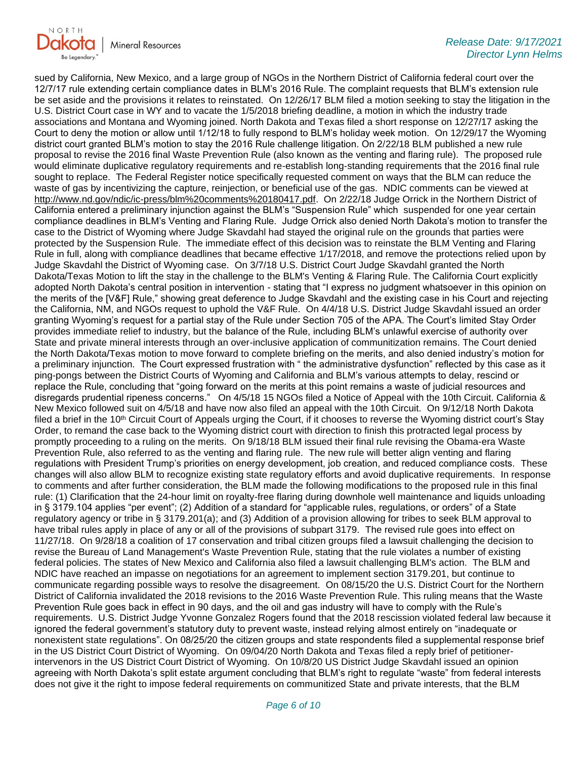

sued by California, New Mexico, and a large group of NGOs in the Northern District of California federal court over the 12/7/17 rule extending certain compliance dates in BLM's 2016 Rule. The complaint requests that BLM's extension rule be set aside and the provisions it relates to reinstated. On 12/26/17 BLM filed a motion seeking to stay the litigation in the U.S. District Court case in WY and to vacate the 1/5/2018 briefing deadline, a motion in which the industry trade associations and Montana and Wyoming joined. North Dakota and Texas filed a short response on 12/27/17 asking the Court to deny the motion or allow until 1/12/18 to fully respond to BLM's holiday week motion. On 12/29/17 the Wyoming district court granted BLM's motion to stay the 2016 Rule challenge litigation. On 2/22/18 BLM published a new rule proposal to revise the 2016 final Waste Prevention Rule (also known as the venting and flaring rule). The proposed rule would eliminate duplicative regulatory requirements and re-establish long-standing requirements that the 2016 final rule sought to replace. The Federal Register notice specifically requested comment on ways that the BLM can reduce the waste of gas by incentivizing the capture, reinjection, or beneficial use of the gas. NDIC comments can be viewed at [http://www.nd.gov/ndic/ic-press/blm%20comments%20180417.pdf.](http://www.nd.gov/ndic/ic-press/blm%20comments%20180417.pdf) On 2/22/18 Judge Orrick in the Northern District of California entered a preliminary injunction against the BLM's "Suspension Rule" which suspended for one year certain compliance deadlines in BLM's Venting and Flaring Rule. Judge Orrick also denied North Dakota's motion to transfer the case to the District of Wyoming where Judge Skavdahl had stayed the original rule on the grounds that parties were protected by the Suspension Rule. The immediate effect of this decision was to reinstate the BLM Venting and Flaring Rule in full, along with compliance deadlines that became effective 1/17/2018, and remove the protections relied upon by Judge Skavdahl the District of Wyoming case. On 3/7/18 U.S. District Court Judge Skavdahl granted the North Dakota/Texas Motion to lift the stay in the challenge to the BLM's Venting & Flaring Rule. The California Court explicitly adopted North Dakota's central position in intervention - stating that "I express no judgment whatsoever in this opinion on the merits of the [V&F] Rule," showing great deference to Judge Skavdahl and the existing case in his Court and rejecting the California, NM, and NGOs request to uphold the V&F Rule. On 4/4/18 U.S. District Judge Skavdahl issued an order granting Wyoming's request for a partial stay of the Rule under Section 705 of the APA. The Court's limited Stay Order provides immediate relief to industry, but the balance of the Rule, including BLM's unlawful exercise of authority over State and private mineral interests through an over-inclusive application of communitization remains. The Court denied the North Dakota/Texas motion to move forward to complete briefing on the merits, and also denied industry's motion for a preliminary injunction. The Court expressed frustration with " the administrative dysfunction" reflected by this case as it ping-pongs between the District Courts of Wyoming and California and BLM's various attempts to delay, rescind or replace the Rule, concluding that "going forward on the merits at this point remains a waste of judicial resources and disregards prudential ripeness concerns." On 4/5/18 15 NGOs filed a Notice of Appeal with the 10th Circuit. California & New Mexico followed suit on 4/5/18 and have now also filed an appeal with the 10th Circuit. On 9/12/18 North Dakota filed a brief in the  $10<sup>th</sup>$  Circuit Court of Appeals urging the Court, if it chooses to reverse the Wyoming district court's Stay Order, to remand the case back to the Wyoming district court with direction to finish this protracted legal process by promptly proceeding to a ruling on the merits. On 9/18/18 BLM issued their final rule revising the Obama-era Waste Prevention Rule, also referred to as the venting and flaring rule. The new rule will better align venting and flaring regulations with President Trump's priorities on energy development, job creation, and reduced compliance costs. These changes will also allow BLM to recognize existing state regulatory efforts and avoid duplicative requirements. In response to comments and after further consideration, the BLM made the following modifications to the proposed rule in this final rule: (1) Clarification that the 24-hour limit on royalty-free flaring during downhole well maintenance and liquids unloading in § 3179.104 applies "per event"; (2) Addition of a standard for "applicable rules, regulations, or orders" of a State regulatory agency or tribe in § 3179.201(a); and (3) Addition of a provision allowing for tribes to seek BLM approval to have tribal rules apply in place of any or all of the provisions of subpart 3179. The revised rule goes into effect on 11/27/18. On 9/28/18 a coalition of 17 conservation and tribal citizen groups filed a lawsuit challenging the decision to revise the Bureau of Land Management's Waste Prevention Rule, stating that the rule violates a number of existing federal policies. The states of New Mexico and California also filed a lawsuit challenging BLM's action. The BLM and NDIC have reached an impasse on negotiations for an agreement to implement section 3179.201, but continue to communicate regarding possible ways to resolve the disagreement. On 08/15/20 the U.S. District Court for the Northern District of California invalidated the 2018 revisions to the 2016 Waste Prevention Rule. This ruling means that the Waste Prevention Rule goes back in effect in 90 days, and the oil and gas industry will have to comply with the Rule's requirements. U.S. District Judge Yvonne Gonzalez Rogers found that the 2018 rescission violated federal law because it ignored the federal government's statutory duty to prevent waste, instead relying almost entirely on "inadequate or nonexistent state regulations". On 08/25/20 the citizen groups and state respondents filed a supplemental response brief in the US District Court District of Wyoming. On 09/04/20 North Dakota and Texas filed a reply brief of petitionerintervenors in the US District Court District of Wyoming. On 10/8/20 US District Judge Skavdahl issued an opinion agreeing with North Dakota's split estate argument concluding that BLM's right to regulate "waste" from federal interests does not give it the right to impose federal requirements on communitized State and private interests, that the BLM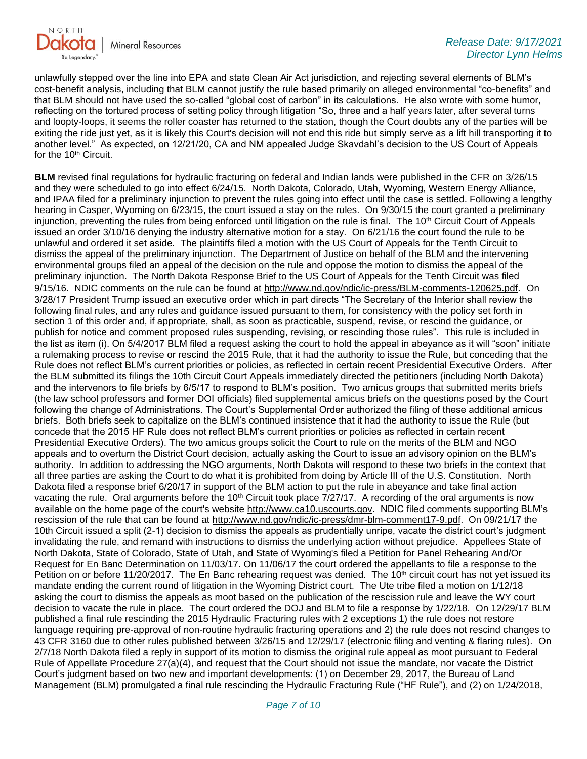

unlawfully stepped over the line into EPA and state Clean Air Act jurisdiction, and rejecting several elements of BLM's cost-benefit analysis, including that BLM cannot justify the rule based primarily on alleged environmental "co-benefits" and that BLM should not have used the so-called "global cost of carbon" in its calculations. He also wrote with some humor, reflecting on the tortured process of setting policy through litigation "So, three and a half years later, after several turns and loopty-loops, it seems the roller coaster has returned to the station, though the Court doubts any of the parties will be exiting the ride just yet, as it is likely this Court's decision will not end this ride but simply serve as a lift hill transporting it to another level." As expected, on 12/21/20, CA and NM appealed Judge Skavdahl's decision to the US Court of Appeals for the 10<sup>th</sup> Circuit.

**BLM** revised final regulations for hydraulic fracturing on federal and Indian lands were published in the CFR on 3/26/15 and they were scheduled to go into effect 6/24/15. North Dakota, Colorado, Utah, Wyoming, Western Energy Alliance, and IPAA filed for a preliminary injunction to prevent the rules going into effect until the case is settled. Following a lengthy hearing in Casper, Wyoming on 6/23/15, the court issued a stay on the rules. On 9/30/15 the court granted a preliminary injunction, preventing the rules from being enforced until litigation on the rule is final. The 10<sup>th</sup> Circuit Court of Appeals issued an order 3/10/16 denying the industry alternative motion for a stay. On 6/21/16 the court found the rule to be unlawful and ordered it set aside. The plaintiffs filed a motion with the US Court of Appeals for the Tenth Circuit to dismiss the appeal of the preliminary injunction. The Department of Justice on behalf of the BLM and the intervening environmental groups filed an appeal of the decision on the rule and oppose the motion to dismiss the appeal of the preliminary injunction. The North Dakota Response Brief to the US Court of Appeals for the Tenth Circuit was filed 9/15/16. NDIC comments on the rule can be found at<http://www.nd.gov/ndic/ic-press/BLM-comments-120625.pdf>. On 3/28/17 President Trump issued an executive order which in part directs "The Secretary of the Interior shall review the following final rules, and any rules and guidance issued pursuant to them, for consistency with the policy set forth in section 1 of this order and, if appropriate, shall, as soon as practicable, suspend, revise, or rescind the guidance, or publish for notice and comment proposed rules suspending, revising, or rescinding those rules". This rule is included in the list as item (i). On 5/4/2017 BLM filed a request asking the court to hold the appeal in abeyance as it will "soon" initiate a rulemaking process to revise or rescind the 2015 Rule, that it had the authority to issue the Rule, but conceding that the Rule does not reflect BLM's current priorities or policies, as reflected in certain recent Presidential Executive Orders. After the BLM submitted its filings the 10th Circuit Court Appeals immediately directed the petitioners (including North Dakota) and the intervenors to file briefs by 6/5/17 to respond to BLM's position. Two amicus groups that submitted merits briefs (the law school professors and former DOI officials) filed supplemental amicus briefs on the questions posed by the Court following the change of Administrations. The Court's Supplemental Order authorized the filing of these additional amicus briefs. Both briefs seek to capitalize on the BLM's continued insistence that it had the authority to issue the Rule (but concede that the 2015 HF Rule does not reflect BLM's current priorities or policies as reflected in certain recent Presidential Executive Orders). The two amicus groups solicit the Court to rule on the merits of the BLM and NGO appeals and to overturn the District Court decision, actually asking the Court to issue an advisory opinion on the BLM's authority. In addition to addressing the NGO arguments, North Dakota will respond to these two briefs in the context that all three parties are asking the Court to do what it is prohibited from doing by Article III of the U.S. Constitution. North Dakota filed a response brief 6/20/17 in support of the BLM action to put the rule in abeyance and take final action vacating the rule. Oral arguments before the 10<sup>th</sup> Circuit took place 7/27/17. A recording of the oral arguments is now available on the home page of the court's website [http://www.ca10.uscourts.gov.](https://gcc02.safelinks.protection.outlook.com/?url=https%3A%2F%2Furldefense.proofpoint.com%2Fv2%2Furl%3Fu%3Dhttp-3A__www.ca10.uscourts.gov%26d%3DDwMGaQ%26c%3D2s2mvbfY0UoSKkl6_Ol9wg%26r%3D-wqsZnBxny594KY8HeElow%26m%3DUl_VtJUX6iW5pvHjCcBxUWtskC0F4Dhry3sPtcEHvCw%26s%3DlaRHiLDv5w8otcQWQjpn82WMieoB2AZ-Q4M1LFQPL5s%26e%3D&data=04%7C01%7Ckahaarsager%40nd.gov%7Cd4cd997dd5354d4656bc08d979e064bb%7C2dea0464da514a88bae2b3db94bc0c54%7C0%7C0%7C637674826944051628%7CUnknown%7CTWFpbGZsb3d8eyJWIjoiMC4wLjAwMDAiLCJQIjoiV2luMzIiLCJBTiI6Ik1haWwiLCJXVCI6Mn0%3D%7C1000&sdata=7z34uHhdXnYjw%2B%2F7s5GD3Qva9QCyYkHYoNemg%2BqzLzI%3D&reserved=0) NDIC filed comments supporting BLM's rescission of the rule that can be found at [http://www.nd.gov/ndic/ic-press/dmr-blm-comment17-9.pdf.](http://www.nd.gov/ndic/ic-press/dmr-blm-comment17-9.pdf) On 09/21/17 the 10th Circuit issued a split (2-1) decision to dismiss the appeals as prudentially unripe, vacate the district court's judgment invalidating the rule, and remand with instructions to dismiss the underlying action without prejudice. Appellees State of North Dakota, State of Colorado, State of Utah, and State of Wyoming's filed a Petition for Panel Rehearing And/Or Request for En Banc Determination on 11/03/17. On 11/06/17 the court ordered the appellants to file a response to the Petition on or before 11/20/2017. The En Banc rehearing request was denied. The 10<sup>th</sup> circuit court has not yet issued its mandate ending the current round of litigation in the Wyoming District court. The Ute tribe filed a motion on 1/12/18 asking the court to dismiss the appeals as moot based on the publication of the rescission rule and leave the WY court decision to vacate the rule in place. The court ordered the DOJ and BLM to file a response by 1/22/18. On 12/29/17 BLM published a final rule rescinding the 2015 Hydraulic Fracturing rules with 2 exceptions 1) the rule does not restore language requiring pre-approval of non-routine hydraulic fracturing operations and 2) the rule does not rescind changes to 43 CFR 3160 due to other rules published between 3/26/15 and 12/29/17 (electronic filing and venting & flaring rules). On 2/7/18 North Dakota filed a reply in support of its motion to dismiss the original rule appeal as moot pursuant to Federal Rule of Appellate Procedure 27(a)(4), and request that the Court should not issue the mandate, nor vacate the District Court's judgment based on two new and important developments: (1) on December 29, 2017, the Bureau of Land Management (BLM) promulgated a final rule rescinding the Hydraulic Fracturing Rule ("HF Rule"), and (2) on 1/24/2018,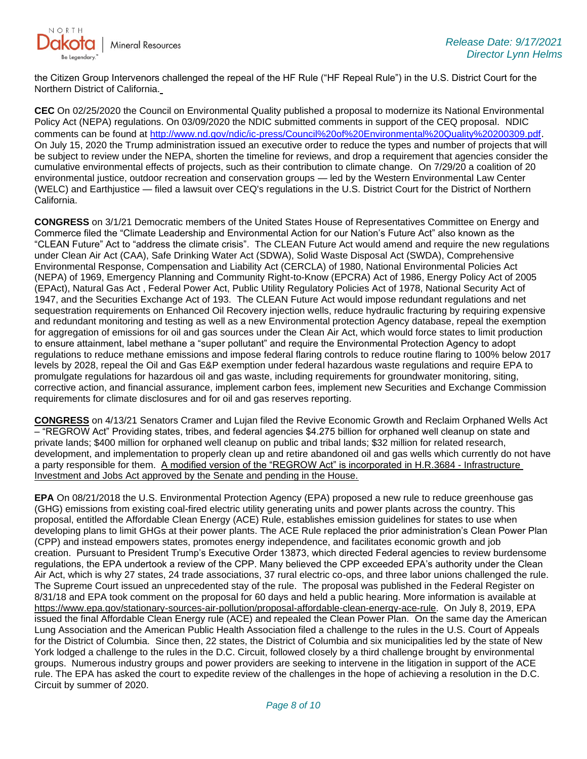

the Citizen Group Intervenors challenged the repeal of the HF Rule ("HF Repeal Rule") in the U.S. District Court for the Northern District of California.

**CEC** On 02/25/2020 the Council on Environmental Quality published a proposal to modernize its National Environmental Policy Act (NEPA) regulations. On 03/09/2020 the NDIC submitted comments in support of the CEQ proposal. NDIC comments can be found at<http://www.nd.gov/ndic/ic-press/Council%20of%20Environmental%20Quality%20200309.pdf>. On July 15, 2020 the Trump administration issued an executive order to reduce the types and number of projects that will be subject to review under the NEPA, shorten the timeline for reviews, and drop a requirement that agencies consider the cumulative environmental effects of projects, such as their contribution to climate change. On 7/29/20 a coalition of 20 environmental justice, outdoor recreation and conservation groups — led by the Western Environmental Law Center (WELC) and Earthjustice — filed a lawsuit over CEQ's regulations in the U.S. District Court for the District of Northern California.

**CONGRESS** on 3/1/21 Democratic members of the United States House of Representatives Committee on Energy and Commerce filed the "Climate Leadership and Environmental Action for our Nation's Future Act" also known as the "CLEAN Future" Act to "address the climate crisis". The CLEAN Future Act would amend and require the new regulations under Clean Air Act (CAA), Safe Drinking Water Act (SDWA), Solid Waste Disposal Act (SWDA), Comprehensive Environmental Response, Compensation and Liability Act (CERCLA) of 1980, National Environmental Policies Act (NEPA) of 1969, Emergency Planning and Community Right-to-Know (EPCRA) Act of 1986, Energy Policy Act of 2005 (EPAct), Natural Gas Act , Federal Power Act, Public Utility Regulatory Policies Act of 1978, National Security Act of 1947, and the Securities Exchange Act of 193. The CLEAN Future Act would impose redundant regulations and net sequestration requirements on Enhanced Oil Recovery injection wells, reduce hydraulic fracturing by requiring expensive and redundant monitoring and testing as well as a new Environmental protection Agency database, repeal the exemption for aggregation of emissions for oil and gas sources under the Clean Air Act, which would force states to limit production to ensure attainment, label methane a "super pollutant" and require the Environmental Protection Agency to adopt regulations to reduce methane emissions and impose federal flaring controls to reduce routine flaring to 100% below 2017 levels by 2028, repeal the Oil and Gas E&P exemption under federal hazardous waste regulations and require EPA to promulgate regulations for hazardous oil and gas waste, including requirements for groundwater monitoring, siting, corrective action, and financial assurance, implement carbon fees, implement new Securities and Exchange Commission requirements for climate disclosures and for oil and gas reserves reporting.

**CONGRESS** on 4/13/21 Senators Cramer and Lujan filed the Revive Economic Growth and Reclaim Orphaned Wells Act – "REGROW Act" Providing states, tribes, and federal agencies \$4.275 billion for orphaned well cleanup on state and private lands; \$400 million for orphaned well cleanup on public and tribal lands; \$32 million for related research, development, and implementation to properly clean up and retire abandoned oil and gas wells which currently do not have a party responsible for them. A modified version of the "REGROW Act" is incorporated in H.R.3684 - Infrastructure Investment and Jobs Act approved by the Senate and pending in the House.

**EPA** On 08/21/2018 the U.S. Environmental Protection Agency (EPA) proposed a new rule to reduce greenhouse gas (GHG) emissions from existing coal-fired electric utility generating units and power plants across the country. This proposal, entitled the Affordable Clean Energy (ACE) Rule, establishes emission guidelines for states to use when developing plans to limit GHGs at their power plants. The ACE Rule replaced the prior administration's Clean Power Plan (CPP) and instead empowers states, promotes energy independence, and facilitates economic growth and job creation. Pursuant to President Trump's Executive Order 13873, which directed Federal agencies to review burdensome regulations, the EPA undertook a review of the CPP. Many believed the CPP exceeded EPA's authority under the Clean Air Act, which is why 27 states, 24 trade associations, 37 rural electric co-ops, and three labor unions challenged the rule. The Supreme Court issued an unprecedented stay of the rule. The proposal was published in the Federal Register on 8/31/18 and EPA took comment on the proposal for 60 days and held a public hearing. More information is available at [https://www.epa.gov/stationary-sources-air-pollution/proposal-affordable-clean-energy-ace-rule.](https://gcc02.safelinks.protection.outlook.com/?url=https%3A%2F%2Fwww.epa.gov%2Fstationary-sources-air-pollution%2Fproposal-affordable-clean-energy-ace-rule&data=04%7C01%7Ckahaarsager%40nd.gov%7Cd4cd997dd5354d4656bc08d979e064bb%7C2dea0464da514a88bae2b3db94bc0c54%7C0%7C0%7C637674826944051628%7CUnknown%7CTWFpbGZsb3d8eyJWIjoiMC4wLjAwMDAiLCJQIjoiV2luMzIiLCJBTiI6Ik1haWwiLCJXVCI6Mn0%3D%7C1000&sdata=X2bAzrSDgzLK1EPxHSgjmVvqQchUfgVRlG3AfaoaVGA%3D&reserved=0) On July 8, 2019, EPA issued the final Affordable Clean Energy rule (ACE) and repealed the Clean Power Plan. On the same day the American Lung Association and the American Public Health Association filed a challenge to the rules in the U.S. Court of Appeals for the District of Columbia. Since then, 22 states, the District of Columbia and six municipalities led by the state of New York lodged a challenge to the rules in the D.C. Circuit, followed closely by a third challenge brought by environmental groups. Numerous industry groups and power providers are seeking to intervene in the litigation in support of the ACE rule. The EPA has asked the court to expedite review of the challenges in the hope of achieving a resolution in the D.C. Circuit by summer of 2020.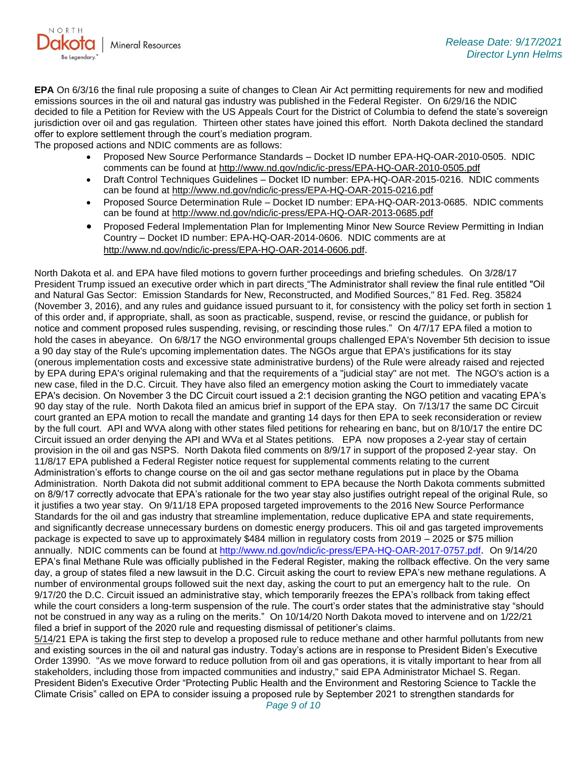

**EPA** On 6/3/16 the final rule proposing a suite of changes to Clean Air Act permitting requirements for new and modified emissions sources in the oil and natural gas industry was published in the Federal Register. On 6/29/16 the NDIC decided to file a Petition for Review with the US Appeals Court for the District of Columbia to defend the state's sovereign jurisdiction over oil and gas regulation. Thirteen other states have joined this effort. North Dakota declined the standard offer to explore settlement through the court's mediation program.

The proposed actions and NDIC comments are as follows:

- Proposed New Source Performance Standards Docket ID number EPA-HQ-OAR-2010-0505. NDIC comments can be found at<http://www.nd.gov/ndic/ic-press/EPA-HQ-OAR-2010-0505.pdf>
- Draft Control Techniques Guidelines Docket ID number: EPA-HQ-OAR-2015-0216. NDIC comments can be found at<http://www.nd.gov/ndic/ic-press/EPA-HQ-OAR-2015-0216.pdf>
- Proposed Source Determination Rule Docket ID number: EPA-HQ-OAR-2013-0685. NDIC comments can be found at<http://www.nd.gov/ndic/ic-press/EPA-HQ-OAR-2013-0685.pdf>
- Proposed Federal Implementation Plan for Implementing Minor New Source Review Permitting in Indian Country – Docket ID number: EPA-HQ-OAR-2014-0606. NDIC comments are at <http://www.nd.gov/ndic/ic-press/EPA-HQ-OAR-2014-0606.pdf>.

North Dakota et al. and EPA have filed motions to govern further proceedings and briefing schedules. On 3/28/17 President Trump issued an executive order which in part directs "The Administrator shall review the final rule entitled "Oil and Natural Gas Sector: Emission Standards for New, Reconstructed, and Modified Sources," 81 Fed. Reg. 35824 (November 3, 2016), and any rules and guidance issued pursuant to it, for consistency with the policy set forth in section 1 of this order and, if appropriate, shall, as soon as practicable, suspend, revise, or rescind the guidance, or publish for notice and comment proposed rules suspending, revising, or rescinding those rules." On 4/7/17 EPA filed a motion to hold the cases in abeyance. On 6/8/17 the NGO environmental groups challenged EPA's November 5th decision to issue a 90 day stay of the Rule's upcoming implementation dates. The NGOs argue that EPA's justifications for its stay (onerous implementation costs and excessive state administrative burdens) of the Rule were already raised and rejected by EPA during EPA's original rulemaking and that the requirements of a "judicial stay" are not met. The NGO's action is a new case, filed in the D.C. Circuit. They have also filed an emergency motion asking the Court to immediately vacate EPA's decision. On November 3 the DC Circuit court issued a 2:1 decision granting the NGO petition and vacating EPA's 90 day stay of the rule. North Dakota filed an amicus brief in support of the EPA stay. On 7/13/17 the same DC Circuit court granted an EPA motion to recall the mandate and granting 14 days for then EPA to seek reconsideration or review by the full court. API and WVA along with other states filed petitions for rehearing en banc, but on 8/10/17 the entire DC Circuit issued an order denying the API and WVa et al States petitions. EPA now proposes a 2-year stay of certain provision in the oil and gas NSPS. North Dakota filed comments on 8/9/17 in support of the proposed 2-year stay. On 11/8/17 EPA published a Federal Register notice request for supplemental comments relating to the current Administration's efforts to change course on the oil and gas sector methane regulations put in place by the Obama Administration. North Dakota did not submit additional comment to EPA because the North Dakota comments submitted on 8/9/17 correctly advocate that EPA's rationale for the two year stay also justifies outright repeal of the original Rule, so it justifies a two year stay. On 9/11/18 EPA proposed targeted improvements to the 2016 New Source Performance Standards for the oil and gas industry that streamline implementation, reduce duplicative EPA and state requirements, and significantly decrease unnecessary burdens on domestic energy producers. This oil and gas targeted improvements package is expected to save up to approximately \$484 million in regulatory costs from 2019 – 2025 or \$75 million annually. NDIC comments can be found at<http://www.nd.gov/ndic/ic-press/EPA-HQ-OAR-2017-0757.pdf>. On 9/14/20 EPA's final Methane Rule was officially published in the Federal Register, making the rollback effective. On the very same day, a group of states filed a new lawsuit in the D.C. Circuit asking the court to review EPA's new methane regulations. A number of environmental groups followed suit the next day, asking the court to put an emergency halt to the rule. On 9/17/20 the D.C. Circuit issued an administrative stay, which temporarily freezes the EPA's rollback from taking effect while the court considers a long-term suspension of the rule. The court's order states that the administrative stay "should not be construed in any way as a ruling on the merits." On 10/14/20 North Dakota moved to intervene and on 1/22/21 filed a brief in support of the 2020 rule and requesting dismissal of petitioner's claims.

5/14/21 EPA is taking the first step to develop a proposed rule to reduce methane and other harmful pollutants from new and existing sources in the oil and natural gas industry. Today's actions are in response to President Biden's Executive Order 13990. "As we move forward to reduce pollution from oil and gas operations, it is vitally important to hear from all stakeholders, including those from impacted communities and industry," said EPA Administrator Michael S. Regan. President Biden's Executive Order "Protecting Public Health and the Environment and Restoring Science to Tackle the Climate Crisis" called on EPA to consider issuing a proposed rule by September 2021 to strengthen standards for